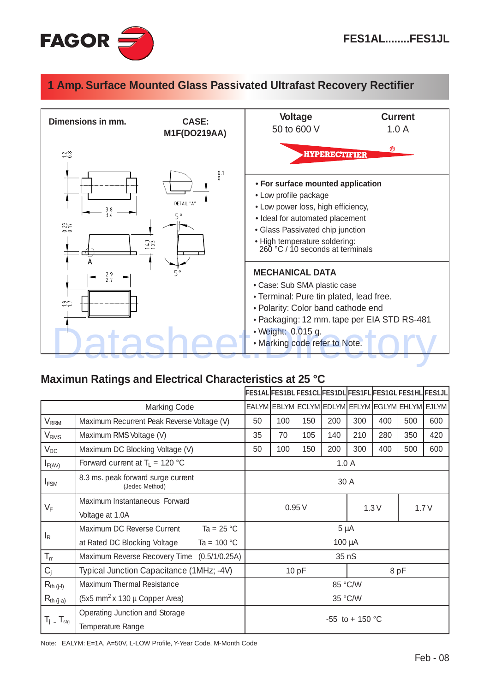

## **1 Amp. Surface Mounted Glass Passivated Ultrafast Recovery Rectifier**



## **Maximun Ratings and Electrical Characteristics at 25 °C**

|                          |                                                                   | FES1AL FES1BL FES1CL FES1DL FES1FL FES1GL FES1HL FES1JL |         |                                                 |     |     |     |     |     |  |
|--------------------------|-------------------------------------------------------------------|---------------------------------------------------------|---------|-------------------------------------------------|-----|-----|-----|-----|-----|--|
| <b>Marking Code</b>      |                                                                   |                                                         |         | EALYM EBLYM ECLYM EDLYM EFLYM EGLYM EHLYM EJLYM |     |     |     |     |     |  |
| $V_{RRM}$                | Maximum Recurrent Peak Reverse Voltage (V)                        | 50                                                      | 100     | 150                                             | 200 | 300 | 400 | 500 | 600 |  |
| V <sub>RMS</sub>         | Maximum RMS Voltage (V)                                           | 35                                                      | 70      | 105                                             | 140 | 210 | 280 | 350 | 420 |  |
| $V_{DC}$                 | Maximum DC Blocking Voltage (V)                                   | 50                                                      | 100     | 150                                             | 200 | 300 | 400 | 500 | 600 |  |
| $I_{F(AV)}$              | Forward current at $T_L = 120$ °C                                 | 1.0A                                                    |         |                                                 |     |     |     |     |     |  |
| $I_{FSM}$                | 8.3 ms. peak forward surge current<br>(Jedec Method)              | 30 A                                                    |         |                                                 |     |     |     |     |     |  |
| $V_{\rm F}$              | Maximum Instantaneous Forward                                     | 0.95V<br>1.7V                                           |         |                                                 |     |     |     |     |     |  |
|                          | Voltage at 1.0A                                                   | 1.3V                                                    |         |                                                 |     |     |     |     |     |  |
| $I_{R}$                  | Maximum DC Reverse Current<br>Ta = $25 \text{ °C}$                | $5 \mu A$                                               |         |                                                 |     |     |     |     |     |  |
|                          | at Rated DC Blocking Voltage<br>Ta = $100 °C$                     | $100 \mu A$                                             |         |                                                 |     |     |     |     |     |  |
| $T_{\rm rr}$             | Maximum Reverse Recovery Time (0.5/1/0.25A)                       | 35 nS                                                   |         |                                                 |     |     |     |     |     |  |
| $C_j$                    | Typical Junction Capacitance (1MHz; -4V)                          | 10pF<br>8pF                                             |         |                                                 |     |     |     |     |     |  |
| $R_{th (j-l)}$           | Maximum Thermal Resistance                                        | 85 °C/W                                                 |         |                                                 |     |     |     |     |     |  |
| $R_{th (j-a)}$           | $(5x5 \text{ mm}^2 \text{ x } 130 \mu \text{ Copper Area})$       |                                                         | 35 °C/W |                                                 |     |     |     |     |     |  |
| $T_j$ - $T_{\text{stg}}$ | <b>Operating Junction and Storage</b><br><b>Temperature Range</b> | $-55$ to $+150$ °C                                      |         |                                                 |     |     |     |     |     |  |

Note: EALYM: E=1A, A=50V, L-LOW Profile, Y-Year Code, M-Month Code